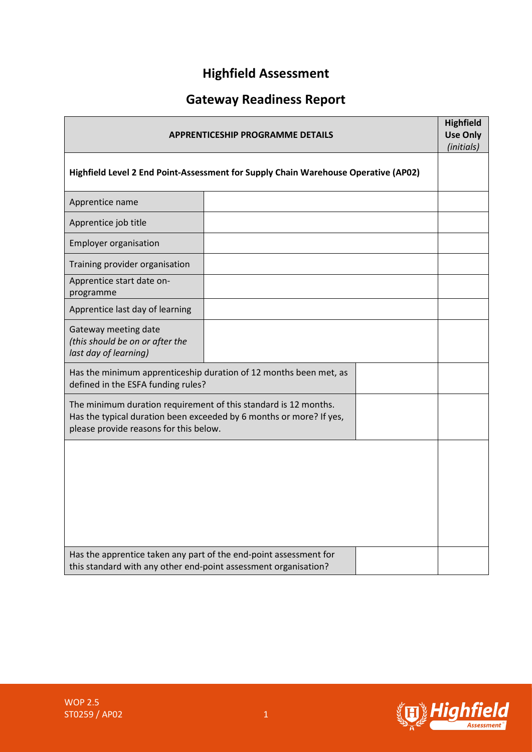# **Highfield Assessment**

# **Gateway Readiness Report**

| <b>APPRENTICESHIP PROGRAMME DETAILS</b><br>Highfield Level 2 End Point-Assessment for Supply Chain Warehouse Operative (AP02)                                                    |  |  |  |
|----------------------------------------------------------------------------------------------------------------------------------------------------------------------------------|--|--|--|
|                                                                                                                                                                                  |  |  |  |
| Apprentice job title                                                                                                                                                             |  |  |  |
| <b>Employer organisation</b>                                                                                                                                                     |  |  |  |
| Training provider organisation                                                                                                                                                   |  |  |  |
| Apprentice start date on-<br>programme                                                                                                                                           |  |  |  |
| Apprentice last day of learning                                                                                                                                                  |  |  |  |
| Gateway meeting date<br>(this should be on or after the<br>last day of learning)                                                                                                 |  |  |  |
| Has the minimum apprenticeship duration of 12 months been met, as<br>defined in the ESFA funding rules?                                                                          |  |  |  |
| The minimum duration requirement of this standard is 12 months.<br>Has the typical duration been exceeded by 6 months or more? If yes,<br>please provide reasons for this below. |  |  |  |
|                                                                                                                                                                                  |  |  |  |
| Has the apprentice taken any part of the end-point assessment for<br>this standard with any other end-point assessment organisation?                                             |  |  |  |

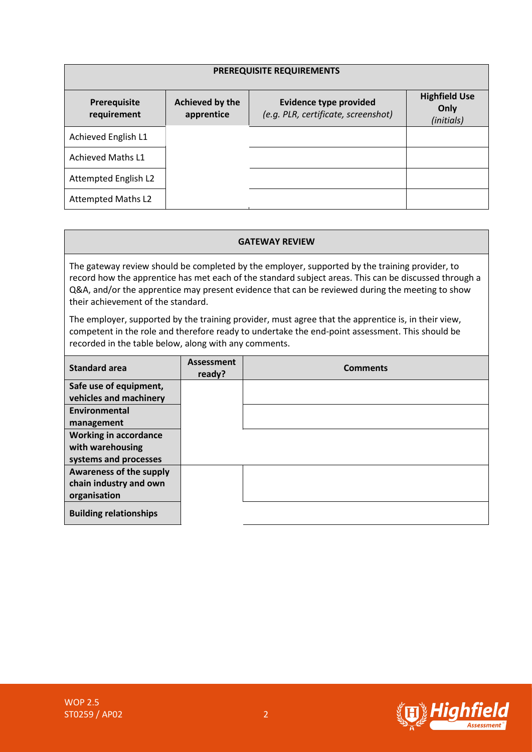| PREREQUISITE REQUIREMENTS   |                               |                                                                      |                                            |  |  |  |
|-----------------------------|-------------------------------|----------------------------------------------------------------------|--------------------------------------------|--|--|--|
| Prerequisite<br>requirement | Achieved by the<br>apprentice | <b>Evidence type provided</b><br>(e.g. PLR, certificate, screenshot) | <b>Highfield Use</b><br>Only<br>(initials) |  |  |  |
| Achieved English L1         |                               |                                                                      |                                            |  |  |  |
| <b>Achieved Maths L1</b>    |                               |                                                                      |                                            |  |  |  |
| Attempted English L2        |                               |                                                                      |                                            |  |  |  |
| <b>Attempted Maths L2</b>   |                               |                                                                      |                                            |  |  |  |

#### **GATEWAY REVIEW**

The gateway review should be completed by the employer, supported by the training provider, to record how the apprentice has met each of the standard subject areas. This can be discussed through a Q&A, and/or the apprentice may present evidence that can be reviewed during the meeting to show their achievement of the standard.

The employer, supported by the training provider, must agree that the apprentice is, in their view, competent in the role and therefore ready to undertake the end-point assessment. This should be recorded in the table below, along with any comments.

| <b>Standard area</b>          | Assessment<br>ready? | <b>Comments</b> |
|-------------------------------|----------------------|-----------------|
| Safe use of equipment,        |                      |                 |
| vehicles and machinery        |                      |                 |
| Environmental                 |                      |                 |
| management                    |                      |                 |
| <b>Working in accordance</b>  |                      |                 |
| with warehousing              |                      |                 |
| systems and processes         |                      |                 |
| Awareness of the supply       |                      |                 |
| chain industry and own        |                      |                 |
| organisation                  |                      |                 |
| <b>Building relationships</b> |                      |                 |